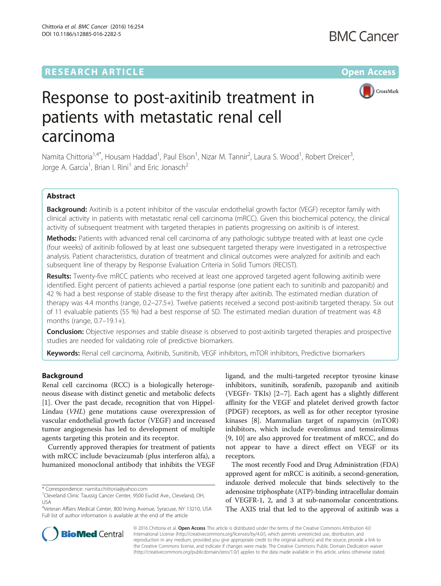Chittoria et al. BMC Cancer (2016) 16:254 DOI 10.1186/s12885-016-2282-5



# Response to post-axitinib treatment in patients with metastatic renal cell carcinoma

Namita Chittoria<sup>1,4\*</sup>, Housam Haddad<sup>1</sup>, Paul Elson<sup>1</sup>, Nizar M. Tannir<sup>2</sup>, Laura S. Wood<sup>1</sup>, Robert Dreicer<sup>3</sup> , Jorge A. Garcia<sup>1</sup>, Brian I. Rini<sup>1</sup> and Eric Jonasch<sup>2</sup>

# Abstract

Background: Axitinib is a potent inhibitor of the vascular endothelial growth factor (VEGF) receptor family with clinical activity in patients with metastatic renal cell carcinoma (mRCC). Given this biochemical potency, the clinical activity of subsequent treatment with targeted therapies in patients progressing on axitinib is of interest.

Methods: Patients with advanced renal cell carcinoma of any pathologic subtype treated with at least one cycle (four weeks) of axitinib followed by at least one subsequent targeted therapy were investigated in a retrospective analysis. Patient characteristics, duration of treatment and clinical outcomes were analyzed for axitinib and each subsequent line of therapy by Response Evaluation Criteria in Solid Tumors (RECIST).

Results: Twenty-five mRCC patients who received at least one approved targeted agent following axitinib were identified. Eight percent of patients achieved a partial response (one patient each to sunitinib and pazopanib) and 42 % had a best response of stable disease to the first therapy after axitinib. The estimated median duration of therapy was 4.4 months (range, 0.2–27.5+). Twelve patients received a second post-axitinib targeted therapy. Six out of 11 evaluable patients (55 %) had a best response of SD. The estimated median duration of treatment was 4.8 months (range, 0.7–19.1+).

**Conclusion:** Objective responses and stable disease is observed to post-axitinib targeted therapies and prospective studies are needed for validating role of predictive biomarkers.

Keywords: Renal cell carcinoma, Axitinib, Sunitinib, VEGF inhibitors, mTOR inhibitors, Predictive biomarkers

# Background

Renal cell carcinoma (RCC) is a biologically heterogeneous disease with distinct genetic and metabolic defects [[1\]](#page-5-0). Over the past decade, recognition that von Hippel-Lindau (VHL) gene mutations cause overexpression of vascular endothelial growth factor (VEGF) and increased tumor angiogenesis has led to development of multiple agents targeting this protein and its receptor.

Currently approved therapies for treatment of patients with mRCC include bevacizumab (plus interferon alfa), a humanized monoclonal antibody that inhibits the VEGF ligand, and the multi-targeted receptor tyrosine kinase inhibitors, sunitinib, sorafenib, pazopanib and axitinib (VEGFr- TKIs) [[2](#page-5-0)–[7\]](#page-5-0). Each agent has a slightly different affinity for the VEGF and platelet derived growth factor (PDGF) receptors, as well as for other receptor tyrosine kinases [[8\]](#page-6-0). Mammalian target of rapamycin (mTOR) inhibitors, which include everolimus and temsirolimus [[9, 10\]](#page-6-0) are also approved for treatment of mRCC, and do not appear to have a direct effect on VEGF or its receptors.

The most recently Food and Drug Administration (FDA) approved agent for mRCC is axitinib, a second-generation, indazole derived molecule that binds selectively to the adenosine triphosphate (ATP)-binding intracellular domain of VEGFR-1, 2, and 3 at sub-nanomolar concentrations. The AXIS trial that led to the approval of axitinib was a



© 2016 Chittoria et al. **Open Access** This article is distributed under the terms of the Creative Commons Attribution 4.0 International License [\(http://creativecommons.org/licenses/by/4.0/](http://creativecommons.org/licenses/by/4.0/)), which permits unrestricted use, distribution, and reproduction in any medium, provided you give appropriate credit to the original author(s) and the source, provide a link to the Creative Commons license, and indicate if changes were made. The Creative Commons Public Domain Dedication waiver [\(http://creativecommons.org/publicdomain/zero/1.0/](http://creativecommons.org/publicdomain/zero/1.0/)) applies to the data made available in this article, unless otherwise stated.

<sup>\*</sup> Correspondence: [namita.chittoria@yahoo.com](mailto:namita.chittoria@yahoo.com) <sup>1</sup>

<sup>&</sup>lt;sup>1</sup>Cleveland Clinic Taussig Cancer Center, 9500 Euclid Ave., Cleveland, OH, USA

<sup>4</sup> Veteran Affairs Medical Center, 800 Irving Avenue, Syracuse, NY 13210, USA Full list of author information is available at the end of the article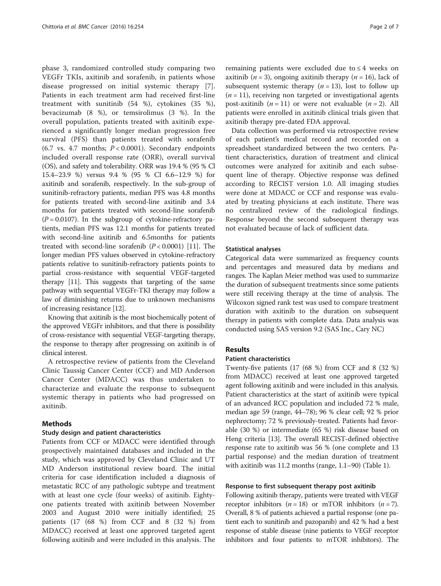phase 3, randomized controlled study comparing two VEGFr TKIs, axitinib and sorafenib, in patients whose disease progressed on initial systemic therapy [\[7](#page-5-0)]. Patients in each treatment arm had received first-line treatment with sunitinib (54 %), cytokines (35 %), bevacizumab (8 %), or temsirolimus (3 %). In the overall population, patients treated with axitinib experienced a significantly longer median progression free survival (PFS) than patients treated with sorafenib (6.7 vs. 4.7 months;  $P < 0.0001$ ). Secondary endpoints included overall response rate (ORR), overall survival (OS), and safety and tolerability. ORR was 19.4 % (95 % Cl 15.4–23.9 %) versus 9.4 % (95 % CI 6.6–12.9 %) for axitinib and sorafenib, respectively. In the sub-group of sunitinib-refractory patients, median PFS was 4.8 months for patients treated with second-line axitinib and 3.4 months for patients treated with second-line sorafenib  $(P = 0.0107)$ . In the subgroup of cytokine-refractory patients, median PFS was 12.1 months for patients treated with second-line axitinib and 6.5months for patients treated with second-line sorafenib  $(P < 0.0001)$  [[11](#page-6-0)]. The longer median PFS values observed in cytokine-refractory patients relative to sunitinib-refractory patients points to partial cross-resistance with sequential VEGF-targeted therapy [\[11\]](#page-6-0). This suggests that targeting of the same pathway with sequential VEGFr-TKI therapy may follow a law of diminishing returns due to unknown mechanisms of increasing resistance [\[12\]](#page-6-0).

Knowing that axitinib is the most biochemically potent of the approved VEGFr inhibitors, and that there is possibility of cross-resistance with sequential VEGF-targeting therapy, the response to therapy after progressing on axitinib is of clinical interest.

A retrospective review of patients from the Cleveland Clinic Taussig Cancer Center (CCF) and MD Anderson Cancer Center (MDACC) was thus undertaken to characterize and evaluate the response to subsequent systemic therapy in patients who had progressed on axitinib.

# Methods

#### Study design and patient characteristics

Patients from CCF or MDACC were identified through prospectively maintained databases and included in the study, which was approved by Cleveland Clinic and UT MD Anderson institutional review board. The initial criteria for case identification included a diagnosis of metastatic RCC of any pathologic subtype and treatment with at least one cycle (four weeks) of axitinib. Eightyone patients treated with axitinib between November 2003 and August 2010 were initially identified; 25 patients (17 (68 %) from CCF and 8 (32 %) from MDACC) received at least one approved targeted agent following axitinib and were included in this analysis. The remaining patients were excluded due to ≤ 4 weeks on axitinib ( $n = 3$ ), ongoing axitinib therapy ( $n = 16$ ), lack of subsequent systemic therapy  $(n = 13)$ , lost to follow up  $(n = 11)$ , receiving non targeted or investigational agents post-axitinib  $(n = 11)$  or were not evaluable  $(n = 2)$ . All patients were enrolled in axitinib clinical trials given that axitinib therapy pre-dated FDA approval.

Data collection was performed via retrospective review of each patient's medical record and recorded on a spreadsheet standardized between the two centers. Patient characteristics, duration of treatment and clinical outcomes were analyzed for axitinib and each subsequent line of therapy. Objective response was defined according to RECIST version 1.0. All imaging studies were done at MDACC or CCF and response was evaluated by treating physicians at each institute. There was no centralized review of the radiological findings. Response beyond the second subsequent therapy was not evaluated because of lack of sufficient data.

# Statistical analyses

Categorical data were summarized as frequency counts and percentages and measured data by medians and ranges. The Kaplan Meier method was used to summarize the duration of subsequent treatments since some patients were still receiving therapy at the time of analysis. The Wilcoxon signed rank test was used to compare treatment duration with axitinib to the duration on subsequent therapy in patients with complete data. Data analysis was conducted using SAS version 9.2 (SAS Inc., Cary NC)

#### Results

#### Patient characteristics

Twenty-five patients (17 (68 %) from CCF and 8 (32 %) from MDACC) received at least one approved targeted agent following axitinib and were included in this analysis. Patient characteristics at the start of axitinib were typical of an advanced RCC population and included 72 % male, median age 59 (range, 44–78); 96 % clear cell; 92 % prior nephrectomy; 72 % previously-treated. Patients had favorable (30 %) or intermediate (65 %) risk disease based on Heng criteria [\[13](#page-6-0)]. The overall RECIST-defined objective response rate to axitinib was 56 % (one complete and 13 partial response) and the median duration of treatment with axitinib was 11.2 months (range, 1.1–90) (Table [1](#page-2-0)).

#### Response to first subsequent therapy post axitinib

Following axitinib therapy, patients were treated with VEGF receptor inhibitors ( $n = 18$ ) or mTOR inhibitors ( $n = 7$ ). Overall, 8 % of patients achieved a partial response (one patient each to sunitinib and pazopanib) and 42 % had a best response of stable disease (nine patients to VEGF receptor inhibitors and four patients to mTOR inhibitors). The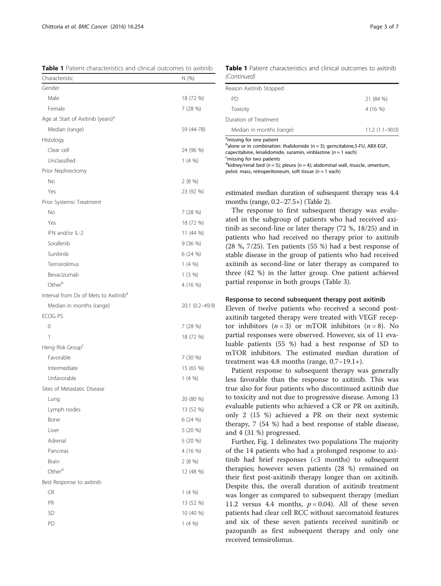<span id="page-2-0"></span>Table 1 Patient characteristics and clinical outcomes to axitinib

| Characteristic                                    | N (%)           |
|---------------------------------------------------|-----------------|
| Gender                                            |                 |
| Male                                              | 18 (72 %)       |
| Female                                            | 7 (28 %)        |
| Age at Start of Axitinib (years) <sup>a</sup>     |                 |
| Median (range)                                    | 59 (44-78)      |
| Histology                                         |                 |
| Clear cell                                        | 24 (96 %)       |
| Unclassified                                      | 1(4%            |
| Prior Nephrectomy                                 |                 |
| Νo                                                | 2(8%)           |
| Yes                                               | 23 (92 %)       |
| Prior Systemic Treatment                          |                 |
| No                                                | 7 (28 %)        |
| Yes                                               | 18 (72 %)       |
| IFN and/or IL-2                                   | 11 (44 %)       |
| Sorafenib                                         | 9(36%)          |
| Sunitinib                                         | 6 (24 %)        |
| Temsirolimus                                      | 1(4%            |
| Bevacizumab                                       | 1(3%)           |
| Otherb                                            | 4 (16 %)        |
| Interval from Dx of Mets to Axitinib <sup>a</sup> |                 |
| Median in months (range)                          | 20.1 (0.2-49.9) |
| ECOG PS                                           |                 |
| 0                                                 | 7 (28 %)        |
| 1                                                 | 18 (72 %)       |
| Heng Risk Group <sup>c</sup>                      |                 |
| Favorable                                         | 7 (30 %)        |
| Intermediate                                      | 15 (65 %)       |
| Unfavorable                                       | 1(4%            |
| Sites of Metastatic Disease                       |                 |
| Lung                                              | 20 (80 %)       |
| Lymph nodes                                       | 13 (52 %)       |
| Bone                                              | 6 (24 %)        |
| Liver                                             | 5 (20 %)        |
| Adrenal                                           | 5 (20 %)        |
| Pancreas                                          | 4 (16 %)        |
| Brain                                             | 2 (8 %)         |
| Other <sup>d</sup>                                | 12 (48 %)       |
| Best Response to axitinib                         |                 |
| <b>CR</b>                                         | 1(4%            |
| PR                                                | 13 (52 %)       |
| SD                                                | 10 (40 %)       |
| PD                                                | 1(4%            |
|                                                   |                 |

|             | <b>Table 1</b> Patient characteristics and clinical outcomes to axitinib |  |  |  |
|-------------|--------------------------------------------------------------------------|--|--|--|
| (Continued) |                                                                          |  |  |  |

| Reason Axitinib Stopped              |                  |
|--------------------------------------|------------------|
| PD.                                  | 21 (84 %)        |
| Toxicity                             | 4 (16 %)         |
| Duration of Treatment                |                  |
| Median in months (range)             | $11.2(1.1-90.0)$ |
| <sup>a</sup> missing for one patient |                  |

 $<sup>b</sup>$ alone or in combination: thalidomide (n = 3); gemcitabine,5-FU, ABX-EGF,</sup> capecitabine, lenalidomide, suramin, vinblastine ( $n = 1$  each)

missing for two patients

<sup>d</sup>kidney/renal bed (n = 5); pleura (n = 4); abdominal wall, muscle, omentum, pelvic mass, retroperitoneum, soft tissue ( $n = 1$  each)

estimated median duration of subsequent therapy was 4.4 months (range, 0.2–27.5+) (Table [2](#page-3-0)).

The response to first subsequent therapy was evaluated in the subgroup of patients who had received axitinib as second-line or later therapy (72 %, 18/25) and in patients who had received no therapy prior to axitinib (28 %, 7/25). Ten patients (55 %) had a best response of stable disease in the group of patients who had received axitinib as second-line or later therapy as compared to three (42 %) in the latter group. One patient achieved partial response in both groups (Table [3\)](#page-4-0).

#### Response to second subsequent therapy post axitinib

Eleven of twelve patients who received a second postaxitinib targeted therapy were treated with VEGF receptor inhibitors  $(n = 3)$  or mTOR inhibitors  $(n = 8)$ . No partial responses were observed. However, six of 11 evaluable patients (55 %) had a best response of SD to mTOR inhibitors. The estimated median duration of treatment was 4.8 months (range, 0.7–19.1+).

Patient response to subsequent therapy was generally less favorable than the response to axitinib. This was true also for four patients who discontinued axitinib due to toxicity and not due to progressive disease. Among 13 evaluable patients who achieved a CR or PR on axitinib, only 2 (15 %) achieved a PR on their next systemic therapy, 7 (54 %) had a best response of stable disease, and 4 (31 %) progressed.

Further, Fig. [1](#page-5-0) delineates two populations The majority of the 14 patients who had a prolonged response to axitinib had brief responses (<3 months) to subsequent therapies; however seven patients (28 %) remained on their first post-axitinib therapy longer than on axitinib. Despite this, the overall duration of axitinib treatment was longer as compared to subsequent therapy (median 11.2 versus 4.4 months,  $p = 0.04$ ). All of these seven patients had clear cell RCC without sarcomatoid features and six of these seven patients received sunitinib or pazopanib as first subsequent therapy and only one received temsirolimus.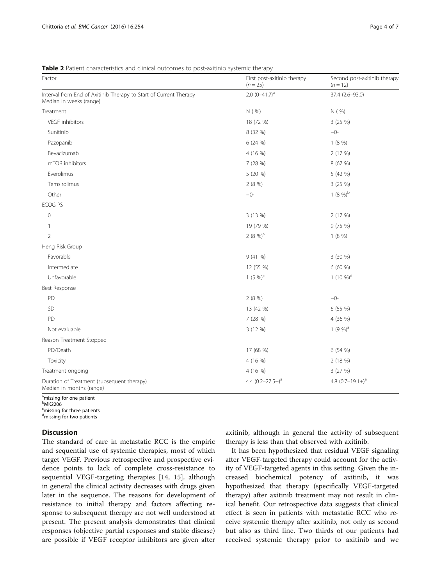<span id="page-3-0"></span>Table 2 Patient characteristics and clinical outcomes to post-axitinib systemic therapy

| Factor                                                                                       | First post-axitinib therapy<br>$(n = 25)$ | Second post-axitinib therapy<br>$(n = 12)$ |
|----------------------------------------------------------------------------------------------|-------------------------------------------|--------------------------------------------|
| Interval from End of Axitinib Therapy to Start of Current Therapy<br>Median in weeks (range) | 2.0 $(0-41.7)^{a}$                        | 37.4 (2.6-93.0)                            |
| Treatment                                                                                    | N (%)                                     | N (%)                                      |
| VEGF inhibitors                                                                              | 18 (72 %)                                 | 3 (25 %)                                   |
| Sunitinib                                                                                    | 8 (32 %)                                  | $-0-$                                      |
| Pazopanib                                                                                    | 6 (24 %)                                  | 1(8%                                       |
| Bevacizumab                                                                                  | 4 (16 %)                                  | 2(17%)                                     |
| mTOR inhibitors                                                                              | 7 (28 %)                                  | 8 (67 %)                                   |
| Everolimus                                                                                   | 5 (20 %)                                  | 5 (42 %)                                   |
| Temsirolimus                                                                                 | 2(8%)                                     | 3 (25 %)                                   |
| Other                                                                                        | $-0-$                                     | 1 $(8\%)^b$                                |
| ECOG PS                                                                                      |                                           |                                            |
| $\circ$                                                                                      | 3 (13 %)                                  | 2(17%)                                     |
| 1                                                                                            | 19 (79 %)                                 | 9 (75 %)                                   |
| $\overline{2}$                                                                               | $2(8\%)^a$                                | 1(8%                                       |
| Heng Risk Group                                                                              |                                           |                                            |
| Favorable                                                                                    | 9(41%                                     | $3(30\%)$                                  |
| Intermediate                                                                                 | 12 (55 %)                                 | 6 (60 %)                                   |
| Unfavorable                                                                                  | $1(5\%)^c$                                | 1 $(10\%)^d$                               |
| Best Response                                                                                |                                           |                                            |
| PD                                                                                           | 2(8%)                                     | $-0-$                                      |
| SD                                                                                           | 13 (42 %)                                 | 6 (55 %)                                   |
| PD                                                                                           | 7 (28 %)                                  | 4 (36 %)                                   |
| Not evaluable                                                                                | 3 (12 %)                                  | 1(9%) <sup>a</sup>                         |
| Reason Treatment Stopped                                                                     |                                           |                                            |
| PD/Death                                                                                     | 17 (68 %)                                 | 6 (54 %)                                   |
| Toxicity                                                                                     | 4 (16 %)                                  | 2(18%)                                     |
| Treatment ongoing                                                                            | 4 (16 %)                                  | 3 (27 %)                                   |
| Duration of Treatment (subsequent therapy)<br>Median in months (range)                       | 4.4 $(0.2 - 27.5 +)^a$                    | 4.8 $(0.7-19.1+)$ <sup>a</sup>             |

<sup>a</sup>missing for one patient

b MK2206

<sup>c</sup>missing for three patients d<sub>missing</sub> for two patients

# **Discussion**

The standard of care in metastatic RCC is the empiric and sequential use of systemic therapies, most of which target VEGF. Previous retrospective and prospective evidence points to lack of complete cross-resistance to sequential VEGF-targeting therapies [\[14](#page-6-0), [15](#page-6-0)], although in general the clinical activity decreases with drugs given later in the sequence. The reasons for development of resistance to initial therapy and factors affecting response to subsequent therapy are not well understood at present. The present analysis demonstrates that clinical responses (objective partial responses and stable disease) are possible if VEGF receptor inhibitors are given after

axitinib, although in general the activity of subsequent therapy is less than that observed with axitinib.

It has been hypothesized that residual VEGF signaling after VEGF-targeted therapy could account for the activity of VEGF-targeted agents in this setting. Given the increased biochemical potency of axitinib, it was hypothesized that therapy (specifically VEGF-targeted therapy) after axitinib treatment may not result in clinical benefit. Our retrospective data suggests that clinical effect is seen in patients with metastatic RCC who receive systemic therapy after axitinib, not only as second but also as third line. Two thirds of our patients had received systemic therapy prior to axitinib and we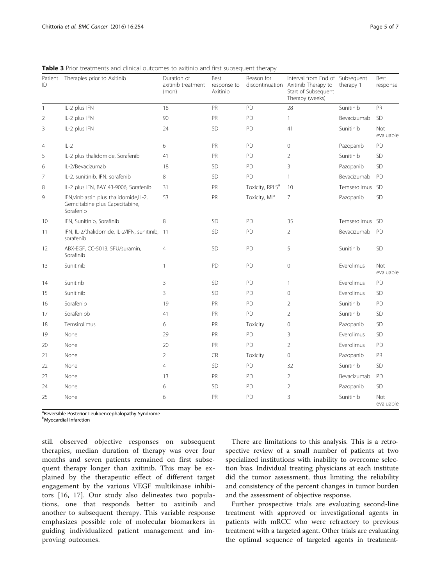| Patient<br>ID  | Therapies prior to Axitinib                                                            | Duration of<br>axitinib treatment<br>(mon) | Best<br>response to<br>Axitinib | Reason for                  | Interval from End of Subsequent<br>discontinuation Axitinib Therapy to<br>Start of Subsequent<br>Therapy (weeks) | therapy 1       | Best<br>response |
|----------------|----------------------------------------------------------------------------------------|--------------------------------------------|---------------------------------|-----------------------------|------------------------------------------------------------------------------------------------------------------|-----------------|------------------|
| $\mathbf{1}$   | IL-2 plus IFN                                                                          | 18                                         | PR                              | PD                          | 28                                                                                                               | Sunitinib       | PR               |
| $\overline{2}$ | IL-2 plus IFN                                                                          | 90                                         | PR                              | PD                          | $\mathbf{1}$                                                                                                     | Bevacizumab     | SD               |
| 3              | IL-2 plus IFN                                                                          | 24                                         | SD                              | PD                          | 41                                                                                                               | Sunitinib       | Not<br>evaluable |
| $\overline{4}$ | $IL-2$                                                                                 | 6                                          | PR                              | PD                          | 0                                                                                                                | Pazopanib       | PD               |
| 5              | IL-2 plus thalidomide, Sorafenib                                                       | 41                                         | PR                              | PD                          | $\overline{2}$                                                                                                   | Sunitinib       | SD               |
| 6              | IL-2/Bevacizumab                                                                       | 18                                         | <b>SD</b>                       | PD                          | 3                                                                                                                | Pazopanib       | <b>SD</b>        |
| 7              | IL-2, sunitinib, IFN, sorafenib                                                        | 8                                          | SD                              | PD                          | 1                                                                                                                | Bevacizumab     | PD               |
| 8              | IL-2 plus IFN, BAY 43-9006, Sorafenib                                                  | 31                                         | PR                              | Toxicity, RPLS <sup>a</sup> | 10                                                                                                               | Temserolimus    | <b>SD</b>        |
| 9              | IFN, vinblastin plus thalidomide, IL-2,<br>Gemcitabine plus Capecitabine,<br>Sorafenib | 53                                         | PR                              | Toxicity, MI <sup>b</sup>   | 7                                                                                                                | Pazopanib       | SD               |
| 10             | IFN, Sunitinib, Sorafinib                                                              | 8                                          | SD                              | PD                          | 35                                                                                                               | Temserolimus SD |                  |
| 11             | IFN, IL-2/thalidomide, IL-2/IFN, sunitinib, 11<br>sorafenib                            |                                            | <b>SD</b>                       | PD                          | $\overline{2}$                                                                                                   | Bevacizumab     | PD               |
| 12             | ABX-EGF, CC-5013, 5FU/suramin,<br>Sorafinib                                            | $\overline{4}$                             | SD                              | PD                          | 5                                                                                                                | Sunitinib       | SD               |
| 13             | Sunitinib                                                                              | 1                                          | PD                              | PD                          | 0                                                                                                                | Everolimus      | Not<br>evaluable |
| 14             | Sunitinb                                                                               | 3                                          | <b>SD</b>                       | PD                          | $\mathbf{1}$                                                                                                     | Everolimus      | PD               |
| 15             | Sunitinib                                                                              | 3                                          | <b>SD</b>                       | PD                          | 0                                                                                                                | Everolimus      | <b>SD</b>        |
| 16             | Sorafenib                                                                              | 19                                         | PR                              | PD                          | $\overline{2}$                                                                                                   | Sunitinib       | PD               |
| 17             | Sorafenibb                                                                             | 41                                         | PR                              | PD                          | $\overline{2}$                                                                                                   | Sunitinib       | SD               |
| 18             | Temsirolimus                                                                           | 6                                          | PR                              | Toxicity                    | $\mathbf 0$                                                                                                      | Pazopanib       | <b>SD</b>        |
| 19             | None                                                                                   | 29                                         | PR                              | PD                          | 3                                                                                                                | Everolimus      | SD               |
| 20             | None                                                                                   | 20                                         | PR                              | PD                          | $\overline{2}$                                                                                                   | Everolimus      | PD               |
| 21             | None                                                                                   | $\overline{2}$                             | CR                              | Toxicity                    | 0                                                                                                                | Pazopanib       | PR               |
| 22             | None                                                                                   | $\overline{4}$                             | <b>SD</b>                       | PD                          | 32                                                                                                               | Sunitinib       | SD               |
| 23             | None                                                                                   | 13                                         | PR                              | PD                          | $\overline{2}$                                                                                                   | Bevacizumab     | PD               |
| 24             | None                                                                                   | 6                                          | SD                              | PD                          | $\overline{2}$                                                                                                   | Pazopanib       | <b>SD</b>        |
| 25             | None                                                                                   | 6                                          | PR                              | PD                          | 3                                                                                                                | Sunitinib       | Not<br>evaluable |

<span id="page-4-0"></span>Table 3 Prior treatments and clinical outcomes to axitinib and first subsequent therapy

<sup>a</sup>Reversible Posterior Leukoencephalopathy Syndrome

**b**Myocardial Infarction

still observed objective responses on subsequent therapies, median duration of therapy was over four months and seven patients remained on first subsequent therapy longer than axitinib. This may be explained by the therapeutic effect of different target engagement by the various VEGF multikinase inhibitors [\[16](#page-6-0), [17](#page-6-0)]. Our study also delineates two populations, one that responds better to axitinib and another to subsequent therapy. This variable response emphasizes possible role of molecular biomarkers in guiding individualized patient management and improving outcomes.

There are limitations to this analysis. This is a retrospective review of a small number of patients at two specialized institutions with inability to overcome selection bias. Individual treating physicians at each institute did the tumor assessment, thus limiting the reliability and consistency of the percent changes in tumor burden and the assessment of objective response.

Further prospective trials are evaluating second-line treatment with approved or investigational agents in patients with mRCC who were refractory to previous treatment with a targeted agent. Other trials are evaluating the optimal sequence of targeted agents in treatment-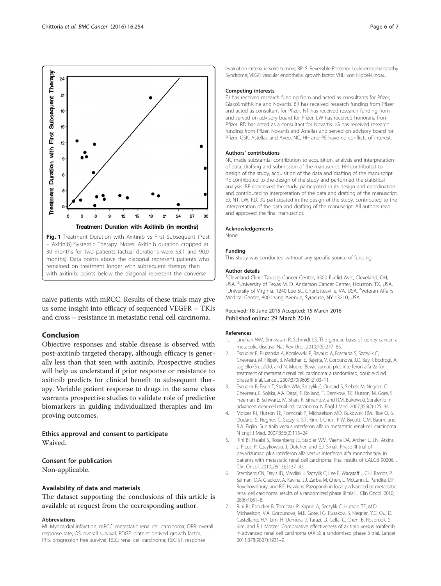<span id="page-5-0"></span>

naive patients with mRCC. Results of these trials may give us some insight into efficacy of sequenced VEGFR – TKIs and cross – resistance in metastatic renal cell carcinoma.

# Conclusion

Objective responses and stable disease is observed with post-axitinib targeted therapy, although efficacy is generally less than that seen with axitinib. Prospective studies will help us understand if prior response or resistance to axitinib predicts for clinical benefit to subsequent therapy. Variable patient response to drugs in the same class warrants prospective studies to validate role of predictive biomarkers in guiding individualized therapies and improving outcomes.

# Ethics approval and consent to participate Waived.

# Consent for publication

Non-applicable.

# Availability of data and materials

The dataset supporting the conclusions of this article is available at request from the corresponding author.

#### Abbreviations

MI: Myocardial Infarction; mRCC: metastatic renal cell carcinoma; ORR: overall response rate; OS: overall survival; PDGF: platelet derived growth factor; PFS: progression free survival; RCC: renal cell carcinoma; RECIST: response

evaluation criteria in solid tumors; RPLS: Reversible Posterior Leukoencephalopathy Syndrome; VEGF: vascular endothelial growth factor; VHL: von Hippel-Lindau.

#### Competing interests

EJ has received research funding from and acted as consultants for Pfizer, GlaxoSmithKline and Novartis. BR has received research funding from Pfizer and acted as consultant for Pfizer. NT has received research funding from and served on advisory board for Pfizer. LW has received honoraria from Pfizer. RD has acted as a consultant for Novartis. JG has received research funding from Pfizer, Novartis and Astellas and served on advisory board for Pfizer, GSK, Astellas and Aveo. NC, HH and PE have no conflicts of interest.

#### Authors' contributions

NC made substantial contribution to acquisition, analysis and interpretation of data, drafting and submission of the manuscript. HH contributed to design of the study, acquisition of the data and drafting of the manuscript. PE contributed to the design of the study and performed the statistical analysis. BR conceived the study, participated in its design and coordination and contributed to interpretation of the data and drafting of the manuscript. EJ, NT, LW, RD, JG participated in the design of the study, contributed to the interpretation of the data and drafting of the manuscript. All authors read and approved the final manuscript.

#### Acknowledgements

None.

# Funding

This study was conducted without any specific source of funding.

#### Author details

<sup>1</sup>Cleveland Clinic Taussig Cancer Center, 9500 Euclid Ave., Cleveland, OH USA. <sup>2</sup>University of Texas M. D. Anderson Cancer Center, Houston, TX, USA. <sup>3</sup>University of Virginia. 1240 Loo St. Charlotterville, VA, USA. <sup>4</sup>Veteran, Affaire University of Virginia, 1240 Lee St., Charlottesville, VA, USA. <sup>4</sup>Veteran Affairs Medical Center, 800 Irving Avenue, Syracuse, NY 13210, USA.

#### Received: 18 June 2015 Accepted: 15 March 2016 Published online: 29 March 2016

#### References

- Linehan WM, Srinivasan R, Schmidt LS. The genetic basis of kidney cancer: a metabolic disease. Nat Rev Urol. 2010;7(5):277–85.
- 2. Escudier B, Pluzanska A, Koralewski P, Ravaud A, Bracarda S, Szczylik C, Chevreau, M. Filipek, B. Melichar, E. Bajetta, V. Gorbunova, J.O. Bay, I. Bodrogi, A. Jagiello-Gruszfeld, and N. Moore. Bevacizumab plus interferon alfa-2a for treatment of metastatic renal cell carcinoma: a randomised, double-blind phase III trial. Lancet. 2007;370(9605):2103–11.
- 3. Escudier B, Eisen T, Stadler WM, Szczylik C, Oudard S, Siebels M, Negrier, C. Chevreau, E. Solska, A.A. Desai, F. Rolland, T. Demkow, T.E. Hutson, M. Gore, S. Freeman, B. Schwartz, M. Shan, R. Simantov, and R.M. Bukowski. Sorafenib in advanced clear-cell renal-cell carcinoma. N Engl J Med. 2007;356(2):125–34.
- 4. Motzer RJ, Hutson TE, Tomczak P, Michaelson MD, Bukowski RM, Rixe O, S. Oudard, S. Negrier, C. Szczylik, S.T. Kim, I. Chen, P.W. Bycott, C.M. Baum, and R.A. Figlin. Sunitinib versus interferon alfa in metastatic renal-cell carcinoma. N Engl J Med. 2007;356(2):115–24.
- 5. Rini BI, Halabi S, Rosenberg JE, Stadler WM, Vaena DA, Archer L, J.N. Atkins, J. Picus, P. Czaykowski, J. Dutcher, and E.J. Small. Phase III trial of bevacizumab plus interferon alfa versus interferon alfa monotherapy in patients with metastatic renal cell carcinoma: final results of CALGB 90206. J Clin Oncol. 2010;28(13):2137–43.
- 6. Sternberg CN, Davis ID, Mardiak J, Szczylik C, Lee E, Wagstaff J, C.H. Barrios, P. Salman, O.A. Gladkov, A. Kavina, J.J. Zarba, M. Chen, L. McCann, L. Pandite, D.F. Roychowdhury, and R.E. Hawkins. Pazopanib in locally advanced or metastatic renal cell carcinoma: results of a randomized phase III trial. J Clin Oncol. 2010; 28(6):1061–8.
- 7. Rini BI, Escudier B, Tomczak P, Kaprin A, Szczylik C, Hutson TE, M.D. Michaelson, V.A. Gorbunova, M.E. Gore, I.G. Rusakov, S. Negrier, Y.C. Ou, D. Castellano, H.Y. Lim, H. Uemura, J. Tarazi, D. Cella, C. Chen, B. Rosbrook, S. Kim, and R.J. Motzer. Comparative effectiveness of axitinib versus sorafenib in advanced renal cell carcinoma (AXIS): a randomised phase 3 trial. Lancet. 2011;378(9807):1931–9.